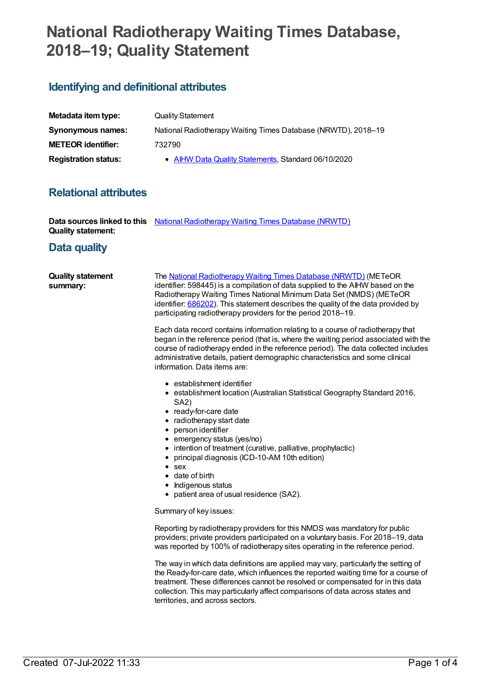# **National Radiotherapy Waiting Times Database, 2018–19; Quality Statement**

## **Identifying and definitional attributes**

| Metadata item type:         | <b>Quality Statement</b>                                      |
|-----------------------------|---------------------------------------------------------------|
| Synonymous names:           | National Radiotherapy Waiting Times Database (NRWTD), 2018–19 |
| <b>METEOR identifier:</b>   | 732790                                                        |
| <b>Registration status:</b> | • AIHW Data Quality Statements, Standard 06/10/2020           |

### **Relational attributes**

|                           | <b>Data sources linked to this</b> National Radiotherapy Waiting Times Database (NRWTD) |  |
|---------------------------|-----------------------------------------------------------------------------------------|--|
| <b>Quality statement:</b> |                                                                                         |  |

#### **Data quality**

| <b>Quality statement</b> | The National Radiotherapy Waiting Times Database (NRWTD) (METeOR                  |
|--------------------------|-----------------------------------------------------------------------------------|
| summary:                 | identifier: 598445) is a compilation of data supplied to the AIHW based on the    |
|                          | Radiotherapy Waiting Times National Minimum Data Set (NMDS) (METeOR               |
|                          | identifier: 686202). This statement describes the quality of the data provided by |
|                          | participating radiotherapy providers for the period 2018–19.                      |
|                          |                                                                                   |

Each data record contains information relating to a course of radiotherapy that began in the reference period (that is, where the waiting period associated with the course of radiotherapy ended in the reference period). The data collected includes administrative details, patient demographic characteristics and some clinical information. Data items are:

- establishment identifier
- establishment location (Australian Statistical Geography Standard 2016, SA2)
- ready-for-care date
- radiotherapy start date
- person identifier
- emergency status (yes/no)
- intention of treatment (curative, palliative, prophylactic)
- principal diagnosis (ICD-10-AM 10th edition)
- sex
- date of birth
- Indigenous status
- patient area of usual residence (SA2).

Summary of key issues:

Reporting by radiotherapy providers for this NMDS was mandatory for public providers; private providers participated on a voluntary basis. For 2018–19, data was reported by 100% of radiotherapy sites operating in the reference period.

The way in which data definitions are applied may vary, particularly the setting of the Ready-for-care date, which influences the reported waiting time for a course of treatment. These differences cannot be resolved or compensated for in this data collection. This may particularly affect comparisons of data across states and territories, and across sectors.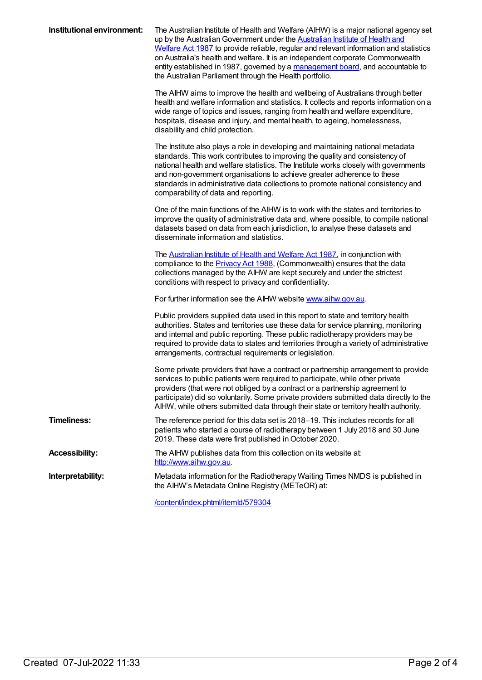| Institutional environment: | The Australian Institute of Health and Welfare (AIHW) is a major national agency set<br>up by the Australian Government under the Australian Institute of Health and<br>Welfare Act 1987 to provide reliable, regular and relevant information and statistics<br>on Australia's health and welfare. It is an independent corporate Commonwealth<br>entity established in 1987, governed by a management board, and accountable to<br>the Australian Parliament through the Health portfolio. |
|----------------------------|----------------------------------------------------------------------------------------------------------------------------------------------------------------------------------------------------------------------------------------------------------------------------------------------------------------------------------------------------------------------------------------------------------------------------------------------------------------------------------------------|
|                            | The AIHW aims to improve the health and wellbeing of Australians through better<br>health and welfare information and statistics. It collects and reports information on a<br>wide range of topics and issues, ranging from health and welfare expenditure,<br>hospitals, disease and injury, and mental health, to ageing, homelessness,<br>disability and child protection.                                                                                                                |
|                            | The Institute also plays a role in developing and maintaining national metadata<br>standards. This work contributes to improving the quality and consistency of<br>national health and welfare statistics. The Institute works closely with governments<br>and non-government organisations to achieve greater adherence to these<br>standards in administrative data collections to promote national consistency and<br>comparability of data and reporting.                                |
|                            | One of the main functions of the AIHW is to work with the states and territories to<br>improve the quality of administrative data and, where possible, to compile national<br>datasets based on data from each jurisdiction, to analyse these datasets and<br>disseminate information and statistics.                                                                                                                                                                                        |
|                            | The Australian Institute of Health and Welfare Act 1987, in conjunction with<br>compliance to the <b>Privacy Act 1988</b> , (Commonwealth) ensures that the data<br>collections managed by the AIHW are kept securely and under the strictest<br>conditions with respect to privacy and confidentiality.                                                                                                                                                                                     |
|                            | For further information see the AIHW website www.aihw.gov.au.                                                                                                                                                                                                                                                                                                                                                                                                                                |
|                            | Public providers supplied data used in this report to state and territory health<br>authorities. States and territories use these data for service planning, monitoring<br>and internal and public reporting. These public radiotherapy providers may be<br>required to provide data to states and territories through a variety of administrative<br>arrangements, contractual requirements or legislation.                                                                                 |
|                            | Some private providers that have a contract or partnership arrangement to provide<br>services to public patients were required to participate, while other private<br>providers (that were not obliged by a contract or a partnership agreement to<br>participate) did so voluntarily. Some private providers submitted data directly to the<br>AIHW, while others submitted data through their state or territory health authority.                                                         |
| <b>Timeliness:</b>         | The reference period for this data set is 2018-19. This includes records for all<br>patients who started a course of radiotherapy between 1 July 2018 and 30 June<br>2019. These data were first published in October 2020.                                                                                                                                                                                                                                                                  |
| <b>Accessibility:</b>      | The AIHW publishes data from this collection on its website at:<br>http://www.aihw.gov.au                                                                                                                                                                                                                                                                                                                                                                                                    |
| Interpretability:          | Metadata information for the Radiotherapy Waiting Times NMDS is published in<br>the AIHW's Metadata Online Registry (METeOR) at:                                                                                                                                                                                                                                                                                                                                                             |

[/content/index.phtml/itemId/579304](file:///content/579304)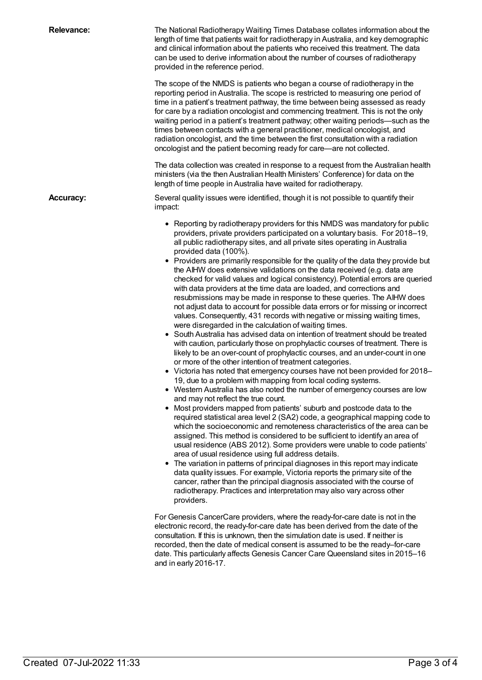| <b>Relevance:</b> | The National Radiotherapy Waiting Times Database collates information about the<br>length of time that patients wait for radiotherapy in Australia, and key demographic<br>and clinical information about the patients who received this treatment. The data<br>can be used to derive information about the number of courses of radiotherapy<br>provided in the reference period.<br>The scope of the NMDS is patients who began a course of radiotherapy in the<br>reporting period in Australia. The scope is restricted to measuring one period of<br>time in a patient's treatment pathway, the time between being assessed as ready<br>for care by a radiation oncologist and commencing treatment. This is not the only<br>waiting period in a patient's treatment pathway; other waiting periods-such as the<br>times between contacts with a general practitioner, medical oncologist, and<br>radiation oncologist, and the time between the first consultation with a radiation<br>oncologist and the patient becoming ready for care—are not collected.<br>The data collection was created in response to a request from the Australian health<br>ministers (via the then Australian Health Ministers' Conference) for data on the<br>length of time people in Australia have waited for radiotherapy.                                                                                                                                                                                                                                                                                                                                                                                                                                                                                                                                                                                                                                                                                                                                                                                                                                                                                                                                                                                                                                                                                                                                                                                                                                                                                                                                                                                                                             |
|-------------------|-----------------------------------------------------------------------------------------------------------------------------------------------------------------------------------------------------------------------------------------------------------------------------------------------------------------------------------------------------------------------------------------------------------------------------------------------------------------------------------------------------------------------------------------------------------------------------------------------------------------------------------------------------------------------------------------------------------------------------------------------------------------------------------------------------------------------------------------------------------------------------------------------------------------------------------------------------------------------------------------------------------------------------------------------------------------------------------------------------------------------------------------------------------------------------------------------------------------------------------------------------------------------------------------------------------------------------------------------------------------------------------------------------------------------------------------------------------------------------------------------------------------------------------------------------------------------------------------------------------------------------------------------------------------------------------------------------------------------------------------------------------------------------------------------------------------------------------------------------------------------------------------------------------------------------------------------------------------------------------------------------------------------------------------------------------------------------------------------------------------------------------------------------------------------------------------------------------------------------------------------------------------------------------------------------------------------------------------------------------------------------------------------------------------------------------------------------------------------------------------------------------------------------------------------------------------------------------------------------------------------------------------------------------------------------------------------------------------------------------------------|
| <b>Accuracy:</b>  | Several quality issues were identified, though it is not possible to quantify their<br>impact:                                                                                                                                                                                                                                                                                                                                                                                                                                                                                                                                                                                                                                                                                                                                                                                                                                                                                                                                                                                                                                                                                                                                                                                                                                                                                                                                                                                                                                                                                                                                                                                                                                                                                                                                                                                                                                                                                                                                                                                                                                                                                                                                                                                                                                                                                                                                                                                                                                                                                                                                                                                                                                                |
|                   | • Reporting by radiotherapy providers for this NMDS was mandatory for public<br>providers, private providers participated on a voluntary basis. For 2018-19,<br>all public radiotherapy sites, and all private sites operating in Australia<br>provided data (100%).<br>• Providers are primarily responsible for the quality of the data they provide but<br>the AIHW does extensive validations on the data received (e.g. data are<br>checked for valid values and logical consistency). Potential errors are queried<br>with data providers at the time data are loaded, and corrections and<br>resubmissions may be made in response to these queries. The AIHW does<br>not adjust data to account for possible data errors or for missing or incorrect<br>values. Consequently, 431 records with negative or missing waiting times,<br>were disregarded in the calculation of waiting times.<br>• South Australia has advised data on intention of treatment should be treated<br>with caution, particularly those on prophylactic courses of treatment. There is<br>likely to be an over-count of prophylactic courses, and an under-count in one<br>or more of the other intention of treatment categories.<br>• Victoria has noted that emergency courses have not been provided for 2018-<br>19, due to a problem with mapping from local coding systems.<br>• Western Australia has also noted the number of emergency courses are low<br>and may not reflect the true count.<br>• Most providers mapped from patients' suburb and postcode data to the<br>required statistical area level 2 (SA2) code, a geographical mapping code to<br>which the socioeconomic and remoteness characteristics of the area can be<br>assigned. This method is considered to be sufficient to identify an area of<br>usual residence (ABS 2012). Some providers were unable to code patients'<br>area of usual residence using full address details.<br>• The variation in patterns of principal diagnoses in this report may indicate<br>data quality issues. For example, Victoria reports the primary site of the<br>cancer, rather than the principal diagnosis associated with the course of<br>radiotherapy. Practices and interpretation may also vary across other<br>providers.<br>For Genesis CancerCare providers, where the ready-for-care date is not in the<br>electronic record, the ready-for-care date has been derived from the date of the<br>consultation. If this is unknown, then the simulation date is used. If neither is<br>recorded, then the date of medical consent is assumed to be the ready-for-care<br>date. This particularly affects Genesis Cancer Care Queensland sites in 2015–16<br>and in early 2016-17. |